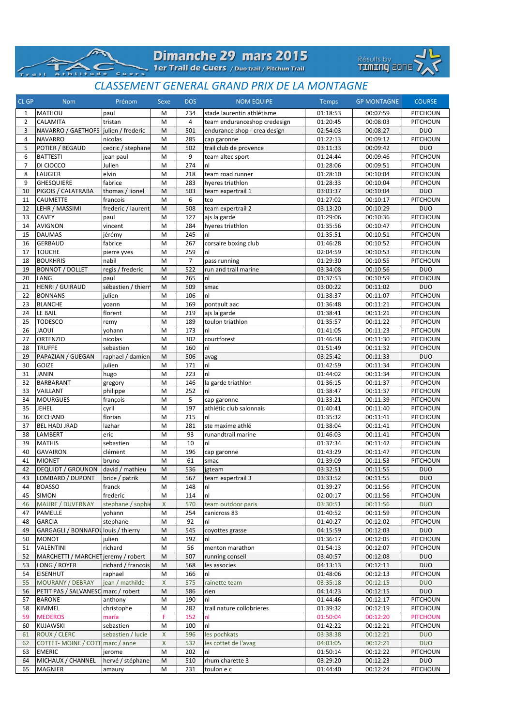|                            | Dimanche 29 mars 2015                          |  |
|----------------------------|------------------------------------------------|--|
| TAC-<br>Athlitude<br>Cuers | 1er Trail de Cuers / Duo trail / Pitchun Trail |  |

 $\sqrt{2}$ 

 $\overline{a}$  iii



## *CLASSEMENT GENERAL GRAND PRIX DE LA MONTAGNE*

| <b>CL GP</b>   | <b>Nom</b>                             | Prénom             | Sexe               | <b>DOS</b>     | <b>NOM EQUIPE</b>            | <b>Temps</b>         | <b>GP MONTAGNE</b>   | <b>COURSE</b>               |
|----------------|----------------------------------------|--------------------|--------------------|----------------|------------------------------|----------------------|----------------------|-----------------------------|
| 1              | <b>MATHOU</b>                          | paul               | M                  | 234            | stade laurentin athlétisme   | 01:18:53             | 00:07:59             | PITCHOUN                    |
| $\overline{2}$ | CALAMITA                               | tristan            | M                  | 4              | team enduranceshop credesign | 01:20:45             | 00:08:03             | PITCHOUN                    |
| 3              | NAVARRO / GAETHOFS   julien / frederic |                    | M                  | 501            | endurance shop - crea design | 02:54:03             | 00:08:27             | <b>DUO</b>                  |
| 4              | <b>NAVARRO</b>                         | nicolas            | M                  | 285            | cap garonne                  | 01:22:13             | 00:09:12             | PITCHOUN                    |
| 5              | POTIER / BEGAUD                        | cedric / stephane  | M                  | 502            | trail club de provence       | 03:11:33             | 00:09:42             | <b>DUO</b>                  |
| 6              | <b>BATTESTI</b>                        | jean paul          | M                  | 9              | team altec sport             | 01:24:44             | 00:09:46             | PITCHOUN                    |
| 7              | DI CIOCCO                              | Julien             | M                  | 274            | nl                           | 01:28:06             | 00:09:51             | PITCHOUN                    |
| 8              | <b>LAUGIER</b>                         | elvin              | M                  | 218            | team road runner             | 01:28:10             | 00:10:04             | PITCHOUN                    |
| 9              | <b>GHESQUIERE</b>                      | fabrice            | M                  | 283            | hyeres triathlon             | 01:28:33             | 00:10:04             | PITCHOUN                    |
| 10             | PIGOIS / CALATRABA                     | thomas / lionel    | M                  | 503            | team expertrail 1            | 03:03:37             | 00:10:04             | <b>DUO</b>                  |
| 11             | CAUMETTE                               | francois           | M                  | 6              | tco                          | 01:27:02             | 00:10:17             | PITCHOUN                    |
| 12             | LEHR / MASSIMI                         | frederic / laurent | M                  | 508            | team expertrail 2            | 03:13:20             | 00:10:29             | <b>DUO</b>                  |
| 13             | <b>CAVEY</b>                           | paul               | M                  | 127            | ajs la garde                 | 01:29:06             | 00:10:36             | <b>PITCHOUN</b>             |
| 14             | <b>AVIGNON</b>                         | vincent            | M                  | 284            | hyeres triathlon             | 01:35:56             | 00:10:47             | PITCHOUN                    |
| 15             | <b>DAUMAS</b>                          | jérémy             | M                  | 245            | nl                           | 01:35:51             | 00:10:51             | PITCHOUN                    |
| 16             | <b>GERBAUD</b>                         | fabrice            | M                  | 267            | corsaire boxing club         | 01:46:28             | 00:10:52             | PITCHOUN                    |
| 17             | <b>TOUCHE</b>                          | pierre yves        | M                  | 259            | nl                           | 02:04:59             | 00:10:53             | PITCHOUN                    |
| 18             | <b>BOUKHRIS</b>                        | nabil              | M                  | $\overline{7}$ | pass running                 | 01:29:30             | 00:10:55             | PITCHOUN                    |
| 19             | <b>BONNOT / DOLLET</b>                 | regis / frederic   | M                  | 522            | run and trail marine         | 03:34:08             | 00:10:56             | <b>DUO</b>                  |
| 20             | LANG                                   | paul               | M                  | 265            | nl                           | 01:37:53             | 00:10:59             | PITCHOUN                    |
| 21             | <b>HENRI / GUIRAUD</b>                 | sébastien / thierr | M                  | 509            | smac                         | 03:00:22             | 00:11:02             | <b>DUO</b>                  |
| 22             | <b>BONNANS</b>                         | julien             | M                  | 106            | nl                           | 01:38:37             | 00:11:07             | <b>PITCHOUN</b>             |
| 23             | <b>BLANCHE</b>                         | yoann              | M<br>M             | 169            | pontault aac                 | 01:36:48             | 00:11:21             | PITCHOUN                    |
| 24<br>25       | LE BAIL<br><b>TODESCO</b>              | florent            | M                  | 219            | ajs la garde                 | 01:38:41             | 00:11:21             | PITCHOUN                    |
| 26             | <b>JAOUI</b>                           | remy               | M                  | 189<br>173     | toulon triathlon<br>nl       | 01:35:57<br>01:41:05 | 00:11:22<br>00:11:23 | PITCHOUN                    |
| 27             | <b>ORTENZIO</b>                        | yohann<br>nicolas  | M                  | 302            | courtforest                  | 01:46:58             | 00:11:30             | PITCHOUN<br><b>PITCHOUN</b> |
| 28             | <b>TRUFFE</b>                          | sebastien          | M                  | 160            | nl                           | 01:51:49             | 00:11:32             | PITCHOUN                    |
| 29             | PAPAZIAN / GUEGAN                      | raphael / damien   | M                  | 506            | avag                         | 03:25:42             | 00:11:33             | <b>DUO</b>                  |
| 30             | GOIZE                                  | julien             | M                  | 171            | n <sup>1</sup>               | 01:42:59             | 00:11:34             | PITCHOUN                    |
| 31             | <b>JANIN</b>                           | hugo               | M                  | 223            | nl                           | 01:44:02             | 00:11:34             | PITCHOUN                    |
| 32             | <b>BARBARANT</b>                       | gregory            | M                  | 146            | la garde triathlon           | 01:36:15             | 00:11:37             | PITCHOUN                    |
| 33             | VAILLANT                               | philippe           | M                  | 252            | nl                           | 01:38:47             | 00:11:37             | PITCHOUN                    |
| 34             | <b>MOURGUES</b>                        | françois           | M                  | 5              | cap garonne                  | 01:33:21             | 00:11:39             | PITCHOUN                    |
| 35             | <b>JEHEL</b>                           | cyril              | M                  | 197            | athlétic club salonnais      | 01:40:41             | 00:11:40             | PITCHOUN                    |
| 36             | <b>DECHAND</b>                         | florian            | M                  | 215            | nl                           | 01:35:32             | 00:11:41             | PITCHOUN                    |
| 37             | <b>BEL HADJ JRAD</b>                   | lazhar             | M                  | 281            | ste maxime athlé             | 01:38:04             | 00:11:41             | PITCHOUN                    |
| 38             | LAMBERT                                | eric               | M                  | 93             | runandtrail marine           | 01:46:03             | 00:11:41             | PITCHOUN                    |
| 39             | <b>MATHIS</b>                          | sebastien          | M                  | 10             | nl                           | 01:37:34             | 00:11:42             | PITCHOUN                    |
| 40             | <b>GAVAIRON</b>                        | clément            | M                  | 196            | cap garonne                  | 01:43:29             | 00:11:47             | PITCHOUN                    |
| 41             | <b>MIONET</b>                          | bruno              | M                  | 61             | smac                         | 01:39:09             | 00:11:53             | PITCHOUN                    |
| 42             | <b>DEQUIDT / GROUNON</b>               | david / mathieu    | M                  | 536            | jgteam                       | 03:32:51             | 00:11:55             | <b>DUO</b>                  |
| 43             | LOMBARD / DUPONT                       | brice / patrik     | M                  | 567            | team expertrail 3            | 03:33:52             | 00:11:55             | <b>DUO</b>                  |
| 44             | <b>BOASSO</b>                          | franck             | M                  | 148            | nl                           | 01:39:27             | 00:11:56             | PITCHOUN                    |
| 45             | <b>SIMON</b>                           | frederic           | M                  | 114            | nl                           | 02:00:17             | 00:11:56             | PITCHOUN                    |
| 46             | <b>MAURE / DUVERNAY</b>                | stephane / sophie  | X                  | 570            | team outdoor paris           | 03:30:51             | 00:11:56             | <b>DUO</b>                  |
| 47             | PAMELLE                                | yohann             | M                  | 254            | canicross 83                 | 01:40:52             | 00:11:59             | PITCHOUN                    |
| 48             | <b>GARCIA</b>                          | stephane           | M                  | 92             | nl                           | 01:40:27             | 00:12:02             | PITCHOUN                    |
| 49             | GARGAGLI / BONNAFOL louis / thierry    |                    | M                  | 545            | coyottes grasse              | 04:15:59             | 00:12:03             | <b>DUO</b>                  |
| 50             | <b>MONOT</b>                           | julien             | M                  | 192            | nl                           | 01:36:17             | 00:12:05             | PITCHOUN                    |
| 51             | VALENTINI                              | richard            | M                  | 56             | menton marathon              | 01:54:13             | 00:12:07             | PITCHOUN                    |
| 52             | MARCHETTI / MARCHET jeremy / robert    |                    | M                  | 507            | running conseil              | 03:40:57             | 00:12:08             | <b>DUO</b>                  |
| 53             | LONG / ROYER                           | richard / francois | M                  | 568            | les associes                 | 04:13:13             | 00:12:11             | <b>DUO</b>                  |
| 54             | <b>EISENHUT</b>                        | raphael            | M                  | 166            | nl                           | 01:48:06             | 00:12:13             | PITCHOUN                    |
| 55             | <b>MOURANY / DEBRAY</b>                | jean / mathilde    | $\pmb{\mathsf{X}}$ | 575            | rainette team                | 03:35:18             | 00:12:15             | <b>DUO</b>                  |
| 56             | PETIT PAS / SALVANESC marc / robert    |                    | M                  | 586            | rien                         | 04:14:23             | 00:12:15             | <b>DUO</b>                  |
| 57             | <b>BARONE</b>                          | anthony            | M                  | 190            | nl                           | 01:44:46             | 00:12:17             | PITCHOUN                    |
| 58             | KIMMEL                                 | christophe         | M                  | 282            | trail nature collobrieres    | 01:39:32             | 00:12:19             | PITCHOUN                    |
| 59             | <b>MEDEROS</b>                         | maría              | F                  | 152            | nl                           | 01:50:04             | 00:12:20             | <b>PITCHOUN</b>             |
| 60             | <b>KUJAWSKI</b>                        | sebastien          | M                  | 100            | nl                           | 01:42:22             | 00:12:21             | PITCHOUN                    |
| 61             | <b>ROUX / CLERC</b>                    | sebastien / lucie  | X                  | 596            | les pochkats                 | 03:38:38             | 00:12:21             | <b>DUO</b>                  |
| 62             | <b>COTTET-MOINE / COTT</b>             | marc / anne        | $\pmb{\mathsf{X}}$ | 532            | les cottet de l'avag         | 04:03:05             | 00:12:21             | <b>DUO</b>                  |
| 63             | <b>EMERIC</b>                          | jerome             | M                  | 202            | nl                           | 01:50:14             | 00:12:22             | PITCHOUN                    |
| 64             | MICHAUX / CHANNEL                      | hervé / stéphane   | M                  | 510            | rhum charette 3              | 03:29:20             | 00:12:23             | <b>DUO</b>                  |
| 65             | <b>MAGNIER</b>                         | amaury             | M                  | 231            | toulon e c                   | 01:44:40             | 00:12:24             | PITCHOUN                    |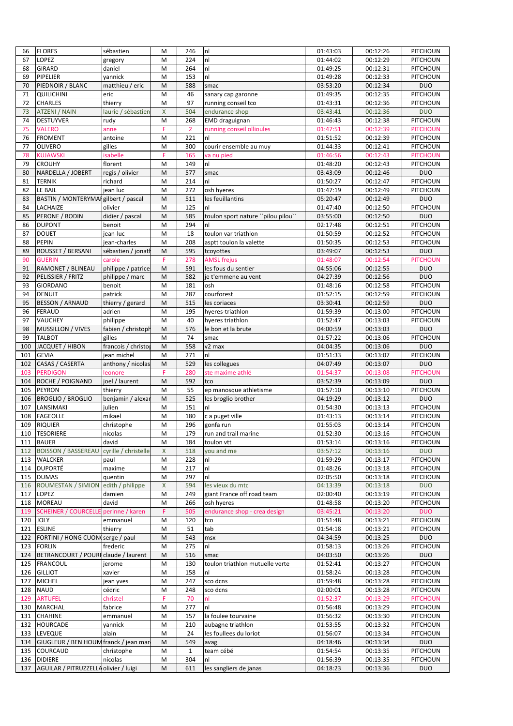| 66         | <b>FLORES</b>                                           | sébastien            | M      | 246            | n!                                | 01:43:03             | 00:12:26              | <b>PITCHOUN</b>        |
|------------|---------------------------------------------------------|----------------------|--------|----------------|-----------------------------------|----------------------|-----------------------|------------------------|
| 67         | LOPEZ                                                   | gregory              | M      | 224            | n <sub>l</sub>                    | 01:44:02             | 00:12:29              | PITCHOUN               |
| 68         | <b>GIRARD</b>                                           | daniel               | M      | 264            | nl                                | 01:49:25             | $\overline{00:}12:31$ | <b>PITCHOUN</b>        |
| 69         | PIPELIER                                                | vannick              | M      | 153            | nl                                | 01:49:28             | 00:12:33              | <b>PITCHOUN</b>        |
| 70         | PIEDNOIR / BLANC                                        | matthieu / eric      | M      | 588            | smac                              | 03:53:20             | 00:12:34              | <b>DUO</b>             |
| 71         | <b>QUILICHINI</b>                                       | eric                 | M      | 46             | sanary cap garonne                | 01:49:35             | 00:12:35              | PITCHOUN               |
| 72         | <b>CHARLES</b>                                          | thierry              | M      | 97             | running conseil tco               | 01:43:31             | 00:12:36              | <b>PITCHOUN</b>        |
| 73         | <b>ATZENI / NAIN</b>                                    | laurie / sébastier   | X      | 504            | endurance shop                    | 03:43:41             | 00:12:36              | <b>DUO</b>             |
| 74         | <b>DESTUYVER</b>                                        | rudy                 | M      | 268            | EMD draguignan                    | 01:46:43             | 00:12:38              | PITCHOUN               |
| 75         | <b>VALERO</b>                                           | anne                 | F      | $\overline{2}$ | running conseil ollioules         | 01:47:51             | 00:12:39              | <b>PITCHOUN</b>        |
| 76         | <b>FROMENT</b>                                          | antoine              | M      | 221            | nl                                | 01:51:52             | 00:12:39              | PITCHOUN               |
| 77         | <b>OLIVERO</b>                                          | gilles               | M      | 300            | courir ensemble au muy            | 01:44:33             | 00:12:41              | PITCHOUN               |
| 78         | <b>KUJAWSKI</b>                                         | isabelle             | F      | 165            | va nu pied                        | 01:46:56             | 00:12:43              | <b>PITCHOUN</b>        |
| 79         | <b>CROUHY</b>                                           | florent              | M      | 149            | nl                                | 01:48:20             | 00:12:43              | PITCHOUN               |
| 80         | NARDELLA / JOBERT                                       | regis / olivier      | M      | 577            | smac                              | 03:43:09             | 00:12:46              | <b>DUO</b>             |
| 81         | <b>TERNIK</b>                                           | richard              | M      | 214            | nl                                | 01:50:27             | 00:12:47              | PITCHOUN               |
| 82         | LE BAIL                                                 | jean luc             | M      | 272            | osh hyeres                        | 01:47:19             | 00:12:49              | PITCHOUN               |
| 83         | BASTIN / MONTERYMAI gilbert / pascal                    |                      | M      | 511            | les feuillantins                  | 05:20:47             | 00:12:49              | <b>DUO</b>             |
| 84         | LACHAIZE                                                | olivier              | M      | 125            | nl                                | 01:47:40             | 00:12:50              | PITCHOUN               |
| 85         | PERONE / BODIN                                          | didier / pascal      | M      | 585            | toulon sport nature "pilou pilou" | 03:55:00             | 00:12:50              | <b>DUO</b>             |
| 86         | <b>DUPONT</b>                                           | benoit               | M      | 294            | nl                                | 02:17:48             | 00:12:51              | <b>PITCHOUN</b>        |
| 87         | <b>DOUET</b>                                            | jean-luc             | M      | 18             | toulon var triathlon              | 01:50:59             | 00:12:52              | PITCHOUN               |
| 88         | <b>PEPIN</b>                                            | jean-charles         | M      | 208            | asptt toulon la valette           | 01:50:35             | 00:12:53              | PITCHOUN               |
| 89         | ROUSSET / BERSANI                                       | sébastien / jonat    | M      | 595            | tcoyottes                         | 03:49:07             | 00:12:53              | <b>DUO</b>             |
| 90         | <b>GUERIN</b>                                           | carole               | F      | 278            | <b>AMSL frejus</b>                | 01:48:07             | 00:12:54              | <b>PITCHOUN</b>        |
| 91         | RAMONET / BLINEAU                                       | philippe / patrice   | M      | 591            | les fous du sentier               | 04:55:06             | 00:12:55              | <b>DUO</b>             |
| 92         | PELISSIER / FRITZ                                       | philippe / marc      | M      | 582            | je t'emmene au vent               | 04:27:39             | 00:12:56              | <b>DUO</b>             |
| 93         | <b>GIORDANO</b>                                         | benoit               | M      | 181            | osh                               | 01:48:16             | 00:12:58              | PITCHOUN               |
| 94         | <b>DENUIT</b>                                           | patrick              | M      | 287            | courforest                        | 01:52:15             | 00:12:59              | PITCHOUN               |
| 95         | <b>BESSON / ARNAUD</b>                                  | thierry / gerard     | M      | 515            | les coriaces                      | 03:30:41             | 00:12:59              | <b>DUO</b>             |
| 96         | <b>FERAUD</b>                                           | adrien               | M      | 195            | hyeres-triathlon                  | 01:59:39             | 00:13:00              | PITCHOUN               |
| 97         | <b>VAUCHEY</b>                                          | philippe             | M      | 40             | hyeres triathlon                  | 01:52:47             | 00:13:03              | PITCHOUN               |
| 98         | <b>MUSSILLON / VIVES</b>                                | fabien / christopl   | M      | 576            | le bon et la brute                | 04:00:59             | 00:13:03              | <b>DUO</b>             |
| 99         | <b>TALBOT</b>                                           | gilles               | M      | 74             | smac                              | 01:57:22             | 00:13:06              | PITCHOUN               |
| 100        | JACQUET / HIBON                                         | francois / christo   | M      | 558            | v2 max                            | 04:04:35             | 00:13:06              | <b>DUO</b>             |
| 101        | <b>GEVIA</b>                                            | jean michel          | M      | 271            | nl                                | 01:51:33             | 00:13:07              | PITCHOUN               |
| 102        | CASAS / CASERTA                                         | anthony / nicolas    | M      | 529            | les collegues                     | 04:07:49             | 00:13:07              | <b>DUO</b>             |
| 103        | <b>PERDIGON</b>                                         | leonore              | F      | 280            | ste maxime athlé                  | 01:54:37             | 00:13:08              | <b>PITCHOUN</b>        |
| 104        | ROCHE / POIGNAND                                        | joel / laurent       | M      | 592            | tco                               | 03:52:39             | 00:13:09              | <b>DUO</b>             |
| 105        | <b>PEYRON</b>                                           | thierry              | M      | 55             | ep manosque athletisme            | 01:57:10             | 00:13:10              | PITCHOUN               |
| 106        | <b>BROGLIO / BROGLIO</b>                                | benjamin / alexar    | M      | 525            | les broglio brother               | 04:19:29             | 00:13:12              | <b>DUO</b>             |
| 107        | LANSIMAKI                                               | julien               | M      | 151            | nl                                | 01:54:30             | 00:13:13              | PITCHOUN               |
| 108        | <b>FAGEOLLE</b>                                         | mikael               | M      | 180            | c a puget ville                   | 01:43:13             | 00:13:14              | PITCHOUN               |
| 109        | <b>RIQUIER</b>                                          | christophe           | M      | 296            | gonfa run                         | 01:55:03             | 00:13:14              | PITCHOUN               |
|            | 110   TESORIERE                                         | nicolas              | M      | 179            | run and trail marine              | 01:52:30             | 00:13:16              | <b>PITCHOUN</b>        |
| 111        | <b>BAUER</b>                                            | david                | M      | 184            | toulon vtt                        | 01:53:14             | 00:13:16              | PITCHOUN               |
| 112        | <b>BOISSON / BASSEREAU</b>                              | cyrille / christelle | X      | 518            | you and me                        | 03:57:12             | 00:13:16              | <b>DUO</b>             |
| 113        | <b>WALCKER</b>                                          | paul                 | M      | 228            | nl                                | 01:59:29             | 00:13:17              | <b>PITCHOUN</b>        |
| 114        | <b>DUPORTÉ</b>                                          | maxime               | M      | 217            | nl                                | 01:48:26             | 00:13:18              | PITCHOUN               |
| 115        | <b>DUMAS</b>                                            | quentin              | M      | 297            | nl                                | 02:05:50             | 00:13:18              | PITCHOUN               |
| 116        | <b>ROUMESTAN / SIMION</b>                               | edith / philippe     | X      | 594            | les vieux du mtc                  | 04:13:39             | 00:13:18              | <b>DUO</b>             |
| 117        | LOPEZ                                                   | damien               | M      | 249            | giant France off road team        | 02:00:40             | 00:13:19              | PITCHOUN               |
| 118        | <b>MOREAU</b>                                           | david                | M      | 266            | osh hyeres                        | 01:48:58             | 00:13:20              | PITCHOUN               |
| 119        | <b>SCHEINER / COURCELL</b>                              | perinne / karen      | F      | 505            | endurance shop - crea design      | 03:45:21             | 00:13:20              | <b>DUO</b>             |
| 120        | <b>JOLY</b>                                             | emmanuel             | M      | 120            | tco                               | 01:51:48             | 00:13:21              | PITCHOUN               |
| 121        | <b>ESLINE</b>                                           | thierry              | M      | 51             | tab                               | 01:54:18             | 00:13:21              | PITCHOUN               |
| 122        | FORTINI / HONG CUON serge / paul                        |                      | M      | 543            | msx                               | 04:34:59             | 00:13:25              | <b>DUO</b>             |
| 123        | <b>FORLIN</b>                                           | frederic             | M      | 275            | nl                                | 01:58:13             | 00:13:26              | PITCHOUN               |
| 124        | BETRANCOURT / POURF claude / laurent                    |                      | M      | 516            | smac                              | 04:03:50             | 00:13:26              | <b>DUO</b>             |
| 125        | <b>FRANCOUL</b>                                         | jerome               | M      | 130            | toulon triathlon mutuelle verte   | 01:52:41             | 00:13:27              | PITCHOUN               |
| 126        | <b>GILLIOT</b>                                          | xavier               | M      | 158            | nl                                | 01:58:24             | 00:13:28              | PITCHOUN               |
| 127        | <b>MICHEL</b>                                           | jean yves            | M      | 247            | sco dcns                          | 01:59:48             | 00:13:28              | PITCHOUN               |
| 128        | <b>NAUD</b>                                             | cédric               | M      | 248            | sco dcns                          | 02:00:01             | 00:13:28              | PITCHOUN               |
| 129        | <b>ARTUFEL</b>                                          | christel             | F      | 70             | nl                                | 01:52:37             | 00:13:29              | <b>PITCHOUN</b>        |
| 130        | <b>MARCHAL</b>                                          | fabrice              | M      | 277            | nl                                | 01:56:48             | 00:13:29              | PITCHOUN               |
| 131        | <b>CHAHINE</b>                                          | emmanuel             | M      | 157            | la foulee tourvaine               | 01:56:32             | 00:13:30              | PITCHOUN               |
| 132        | <b>HOURCADE</b>                                         | yannick              | M      | 210            | aubagne triathlon                 | 01:53:55             | 00:13:32              | PITCHOUN               |
| 133        | <b>LEVEQUE</b>                                          | alain                | M      | 24             |                                   | 01:56:07             | 00:13:34              | PITCHOUN               |
|            | GIUGLEUR / BEN HOUM franck / jean mar                   |                      |        | 549            | les foullees du loriot            | 04:18:46             | 00:13:34              | <b>DUO</b>             |
| 134<br>135 |                                                         |                      | M      | $\mathbf{1}$   | avag<br>team cébé                 | 01:54:54             | 00:13:35              | PITCHOUN               |
|            |                                                         |                      |        |                |                                   |                      |                       |                        |
|            | COURCAUD                                                | christophe           | M      |                |                                   |                      |                       |                        |
| 136<br>137 | <b>DIDIERE</b><br>AGUILAR / PITRUZZELLA olivier / luigi | nicolas              | M<br>M | 304<br>611     | nl<br>les sangliers de janas      | 01:56:39<br>04:18:23 | 00:13:35<br>00:13:36  | PITCHOUN<br><b>DUO</b> |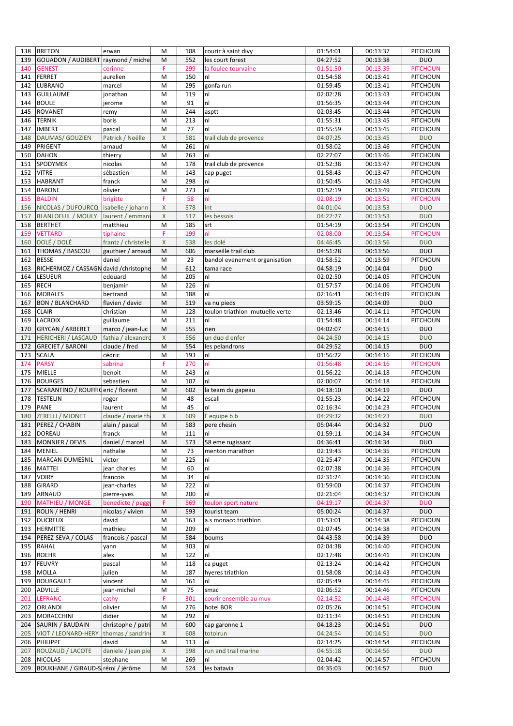| 138 | <b>BRETON</b>                          | erwan               | M            | 108 | courir à saint divy             | 01:54:01 | 00:13:37 | PITCHOUN        |
|-----|----------------------------------------|---------------------|--------------|-----|---------------------------------|----------|----------|-----------------|
| 139 | GOUADON / AUDIBERT raymond / miche     |                     | M            | 552 | les court forest                | 04:27:52 | 00:13:38 | <b>DUO</b>      |
| 140 | <b>GENEST</b>                          | corinne             | F            | 299 | la foulee tourvaine             | 01:51:50 | 00:13:39 | <b>PITCHOUN</b> |
| 141 | <b>FERRET</b>                          | aurelien            | M            | 150 | nl                              | 01:54:58 | 00:13:41 | PITCHOUN        |
| 142 | <b>LUBRANO</b>                         | marcel              | M            | 295 | gonfa run                       | 01:59:45 | 00:13:41 | PITCHOUN        |
| 143 | <b>GUILLAUME</b>                       | jonathan            | M            | 119 | nl                              | 02:02:28 | 00:13:43 | PITCHOUN        |
|     | <b>BOULE</b>                           |                     |              |     | nl                              |          |          | PITCHOUN        |
| 144 |                                        | jerome              | M            | 91  |                                 | 01:56:35 | 00:13:44 |                 |
| 145 | <b>ROVANET</b>                         | remy                | M            | 244 | asptt                           | 02:03:45 | 00:13:44 | PITCHOUN        |
| 146 | <b>TERNIK</b>                          | boris               | M            | 213 | nl                              | 01:55:31 | 00:13:45 | PITCHOUN        |
| 147 | <b>IMBERT</b>                          | pascal              | M            | 77  | nl                              | 01:55:59 | 00:13:45 | PITCHOUN        |
| 148 | DAUMAS/ GOUZIEN                        | Patrick / Noëlle    | $\mathsf{X}$ | 581 | trail club de provence          | 04:07:25 | 00:13:45 | <b>DUO</b>      |
| 149 | <b>PRIGENT</b>                         | arnaud              | M            | 261 | nl                              | 01:58:02 | 00:13:46 | PITCHOUN        |
| 150 | <b>DAHON</b>                           | thierry             | M            | 263 | nl                              | 02:27:07 | 00:13:46 | PITCHOUN        |
| 151 | <b>SPODYMEK</b>                        | nicolas             | M            | 178 | trail club de provence          | 01:52:38 | 00:13:47 | PITCHOUN        |
| 152 | <b>VITRE</b>                           | sébastien           | M            | 143 | cap puget                       | 01:58:43 | 00:13:47 | PITCHOUN        |
| 153 | <b>HABRANT</b>                         | franck              | M            | 298 | nl                              | 01:50:45 | 00:13:48 | PITCHOUN        |
| 154 | <b>BARONE</b>                          | olivier             | M            | 273 | nl                              | 01:52:19 | 00:13:49 | PITCHOUN        |
| 155 | <b>BALDIN</b>                          |                     | F            | 58  | nl                              | 02:08:19 |          | <b>PITCHOUN</b> |
|     |                                        | brigitte            |              |     |                                 |          | 00:13:51 |                 |
| 156 | NICOLAS / DUFOURCQ                     | isabelle / johann   | X            | 578 | Int                             | 04:01:04 | 00:13:53 | <b>DUO</b>      |
| 157 | <b>BLANLOEUIL / MOULY</b>              | laurent / emman     | $\mathsf{X}$ | 517 | les bessois                     | 04:22:27 | 00:13:53 | <b>DUO</b>      |
| 158 | <b>BERTHET</b>                         | matthieu            | M            | 185 | srt                             | 01:54:19 | 00:13:54 | PITCHOUN        |
| 159 | <b>VETTARD</b>                         | tiphaine            | F            | 199 | nl                              | 02:08:00 | 00:13:54 | <b>PITCHOUN</b> |
| 160 | DOLÉ / DOLÉ                            | frantz / christelle | $\mathsf{X}$ | 538 | les dolé                        | 04:46:45 | 00:13:56 | <b>DUO</b>      |
| 161 | THOMAS / BASCOU                        | gauthier / arnaud   | M            | 606 | marseille trail club            | 04:51:28 | 00:13:56 | <b>DUO</b>      |
| 162 | <b>BESSE</b>                           | daniel              | M            | 23  | bandol evenement organisation   | 01:58:52 | 00:13:59 | PITCHOUN        |
| 163 | RICHERMOZ / CASSAGN david / christophe |                     | M            | 612 | tama race                       | 04:58:19 | 00:14:04 | <b>DUO</b>      |
| 164 | LESUEUR                                | edouard             | M            | 205 | nl                              | 02:02:50 | 00:14:05 | PITCHOUN        |
| 165 | <b>RECH</b>                            | benjamin            | M            | 226 | nl                              | 01:57:57 | 00:14:06 | PITCHOUN        |
| 166 | <b>MORALES</b>                         | bertrand            | M            | 188 | nl                              | 02:16:41 | 00:14:09 | PITCHOUN        |
|     |                                        |                     |              |     |                                 |          |          |                 |
| 167 | <b>BON / BLANCHARD</b>                 | flavien / david     | M            | 519 | va nu pieds                     | 03:59:15 | 00:14:09 | <b>DUO</b>      |
| 168 | <b>CLAIR</b>                           | christian           | M            | 128 | toulon triathlon mutuelle verte | 02:13:46 | 00:14:11 | PITCHOUN        |
| 169 | <b>LACROIX</b>                         | guillaume           | M            | 211 | nl                              | 01:54:48 | 00:14:14 | PITCHOUN        |
| 170 | <b>GRYCAN / ARBERET</b>                | marco / jean-luc    | M            | 555 | rien                            | 04:02:07 | 00:14:15 | <b>DUO</b>      |
| 171 | <b>HERICHERI / LASCAUD</b>             | fathia / alexandr   | $\mathsf{X}$ | 556 | un duo d enfer                  | 04:24:50 | 00:14:15 | <b>DUO</b>      |
| 172 | <b>GRECIET / BARONI</b>                | claude / fred       | M            | 554 | les pelandrons                  | 04:29:52 | 00:14:15 | <b>DUO</b>      |
| 173 | <b>SCALA</b>                           | cédric              | M            | 193 | nl                              | 01:56:22 | 00:14:16 | PITCHOUN        |
| 174 | <b>PARSY</b>                           | sabrina             | F            | 270 | nl                              | 01:56:48 | 00:14:16 | <b>PITCHOUN</b> |
| 175 | <b>MIELLE</b>                          | benoit              | M            | 243 | nl                              | 01:56:22 | 00:14:18 | <b>PITCHOUN</b> |
| 176 | <b>BOURGES</b>                         | sebastien           | M            | 107 | nl                              | 02:00:07 | 00:14:18 | PITCHOUN        |
| 177 | SCARANTINO / ROUFFIC eric / florent    |                     | M            | 602 | la team du gapeau               | 04:18:10 | 00:14:19 | <b>DUO</b>      |
| 178 | <b>TESTELIN</b>                        |                     | M            | 48  | escall                          | 01:55:23 | 00:14:22 | PITCHOUN        |
|     |                                        | roger               |              |     | nl                              |          |          |                 |
| 179 | <b>PANE</b>                            | laurent             | M            | 45  |                                 | 02:16:34 | 00:14:23 | PITCHOUN        |
| 180 | <b>ZERELLI / MIONET</b>                | claude / marie th   | X            | 609 | l'equipe b b                    | 04:29:32 | 00:14:23 | <b>DUO</b>      |
| 181 | PEREZ / CHABIN                         | alain / pascal      | M            | 583 | pere chesin                     | 05:04:44 | 00:14:32 | <b>DUO</b>      |
|     | 182 DOREAU                             | franck              | M            | 111 | Inl                             | 01:59:11 | 00:14:34 | PITCHOUN        |
|     | 183   MONNIER / DEVIS                  | daniel / marcel     | M            | 573 | 58 eme rugissant                | 04:36:41 | 00:14:34 | <b>DUO</b>      |
| 184 | <b>MENIEL</b>                          | nathalie            | M            | 73  | menton marathon                 | 02:19:43 | 00:14:35 | PITCHOUN        |
| 185 | MARCAN-DUMESNIL                        | victor              | M            | 225 | nl                              | 02:25:47 | 00:14:35 | PITCHOUN        |
| 186 | <b>MATTEI</b>                          | jean charles        | M            | 60  | n!                              | 02:07:38 | 00:14:36 | PITCHOUN        |
| 187 | <b>VOIRY</b>                           | francois            | M            | 34  | nl                              | 02:31:24 | 00:14:36 | PITCHOUN        |
| 188 | <b>GIRARD</b>                          | jean-charles        | M            | 222 | nl                              | 01:59:00 | 00:14:37 | PITCHOUN        |
| 189 | <b>ARNAUD</b>                          | pierre-yves         | M            | 200 | nl                              | 02:21:04 | 00:14:37 | <b>PITCHOUN</b> |
| 190 | <b>MATHIEU / MONGE</b>                 | benedicte / pegg    | F            | 569 |                                 | 04:19:17 | 00:14:37 | <b>DUO</b>      |
|     |                                        |                     |              |     | toulon sport nature             |          |          |                 |
| 191 | ROLIN / HENRI                          | nicolas / vivien    | M            | 593 | tourist team                    | 05:00:24 | 00:14:37 | <b>DUO</b>      |
| 192 | <b>DUCREUX</b>                         | david               | M            | 163 | a.s monaco triathlon            | 01:53:01 | 00:14:38 | PITCHOUN        |
| 193 | <b>HERMITTE</b>                        | mathieu             | M            | 209 | nl                              | 02:07:45 | 00:14:38 | PITCHOUN        |
| 194 | PEREZ-SEVA / COLAS                     | francois / pascal   | M            | 584 | boums                           | 04:43:58 | 00:14:39 | <b>DUO</b>      |
| 195 | <b>RAHAL</b>                           | yann                | M            | 303 | nl                              | 02:04:38 | 00:14:40 | PITCHOUN        |
| 196 | <b>ROEHR</b>                           | alex                | M            | 122 | nl                              | 02:17:48 | 00:14:41 | PITCHOUN        |
| 197 | <b>FEUVRY</b>                          | pascal              | M            | 118 | ca puget                        | 02:13:24 | 00:14:42 | PITCHOUN        |
| 198 | <b>MOLLA</b>                           | julien              | M            | 187 | hyeres triathlon                | 01:58:08 | 00:14:43 | PITCHOUN        |
| 199 | <b>BOURGAULT</b>                       | vincent             | M            | 161 | nl                              | 02:05:49 | 00:14:45 | PITCHOUN        |
| 200 | <b>ADVILLE</b>                         | jean-michel         | M            | 75  | smac                            | 02:06:52 | 00:14:46 | PITCHOUN        |
| 201 | <b>LEFRANC</b>                         | cathy               | F            | 301 | courir ensemble au muy          | 02:14:52 | 00:14:48 | <b>PITCHOUN</b> |
|     |                                        |                     |              |     |                                 |          |          |                 |
| 202 | <b>ORLANDI</b>                         | olivier             | M            | 276 | hotel BOR                       | 02:05:26 | 00:14:51 | PITCHOUN        |
| 203 | <b>MORACCHINI</b>                      | didier              | M            | 292 | nl                              | 02:11:34 | 00:14:51 | <b>PITCHOUN</b> |
| 204 | SAURIN / BAUDAIN                       | christophe / patr   | M            | 600 | cap garonne 1                   | 04:18:23 | 00:14:51 | <b>DUO</b>      |
| 205 | VIOT / LEONARD-HERY                    | thomas / sandrin    | X            | 608 | totolrun                        | 04:24:54 | 00:14:51 | <b>DUO</b>      |
| 206 | <b>PHILIPPE</b>                        | david               | M            | 113 | nl                              | 02:14:25 | 00:14:54 | <b>PITCHOUN</b> |
| 207 | ROUZAUD / LACOTE                       | daniele / jean pie  | X            | 598 | run and trail marine            | 04:55:18 | 00:14:56 | <b>DUO</b>      |
| 208 | <b>NICOLAS</b>                         | stephane            | M            | 269 | nl                              | 02:04:42 | 00:14:57 | PITCHOUN        |
| 209 | BOUKHANE / GIRAUD-S rémi / jérôme      |                     | M            | 524 | les batavia                     | 04:35:03 | 00:14:57 | <b>DUO</b>      |
|     |                                        |                     |              |     |                                 |          |          |                 |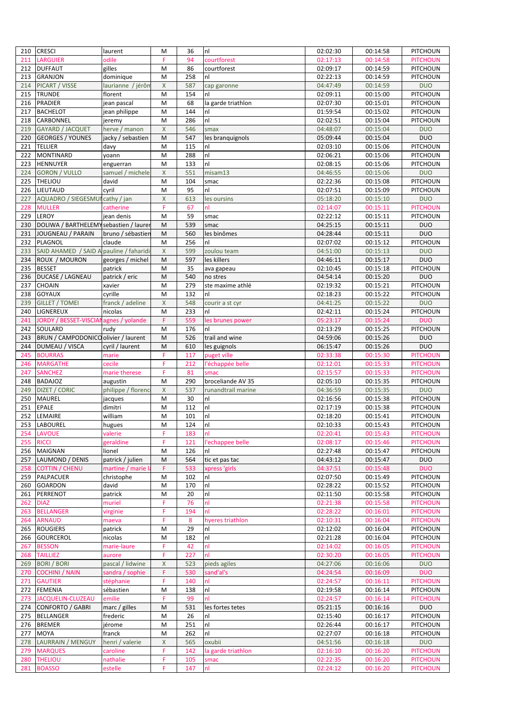| 210        | <b>CRESCI</b>                          | laurent             | M            | 36         | nl                     | 02:02:30             | 00:14:58             | <b>PITCHOUN</b>                    |
|------------|----------------------------------------|---------------------|--------------|------------|------------------------|----------------------|----------------------|------------------------------------|
| 211        | <b>LARGUIER</b>                        | odile               | F            | 94         | courtforest            | 02:17:13             | 00:14:58             | <b>PITCHOUN</b>                    |
| 212        | <b>DUFFAUT</b>                         | gilles              | M            | 86         | courtforest            | 02:09:17             | 00:14:59             | <b>PITCHOUN</b>                    |
| 213        | <b>GRANJON</b>                         | dominique           | M            | 258        | nl                     | 02:22:13             | 00:14:59             | <b>PITCHOUN</b>                    |
| 214        | PICART / VISSE                         | laurianne / jérôn   | $\mathsf{X}$ | 587        | cap garonne            | 04:47:49             | 00:14:59             | <b>DUO</b>                         |
| 215        | <b>TRUNDE</b>                          | florent             | M            | 154        | nl                     | 02:09:11             | 00:15:00             | PITCHOUN                           |
| 216        | <b>PRADIER</b>                         | jean pascal         | M            | 68         | la garde triathlon     | 02:07:30             | 00:15:01             | <b>PITCHOUN</b>                    |
| 217        | <b>BACHELOT</b>                        | jean philippe       | M            | 144        | nl                     | 01:59:54             | 00:15:02             | PITCHOUN                           |
| 218        | CARBONNEL                              | jeremy              | M            | 286        | nl                     | 02:02:51             | 00:15:04             | PITCHOUN                           |
| 219        | <b>GAYARD / JACQUET</b>                | herve / manon       | $\mathsf{X}$ | 546        | smax                   | 04:48:07             | 00:15:04             | <b>DUO</b>                         |
| 220        | <b>GEORGES / YOUNES</b>                | jacky / sebastien   | M            | 547        |                        | 05:09:44             | 00:15:04             | <b>DUO</b>                         |
| 221        | <b>TELLIER</b>                         | davy                | M            | 115        | les branquignols<br>nl | 02:03:10             |                      | PITCHOUN                           |
|            | <b>MONTINARD</b>                       |                     |              |            |                        |                      | 00:15:06             |                                    |
| 222        | <b>HENNUYER</b>                        | yoann               | M            | 288        | nl                     | 02:06:21<br>02:08:15 | 00:15:06             | PITCHOUN                           |
| 223        |                                        | enguerran           | M            | 133        | nl                     |                      | 00:15:06             | PITCHOUN                           |
| 224        | <b>GORON / VULLO</b>                   | samuel / michele    | X            | 551        | misam13                | 04:46:55             | 00:15:06             | <b>DUO</b>                         |
| 225        | <b>THELIOU</b>                         | david               | M            | 104        | smac                   | 02:22:36             | 00:15:08             | PITCHOUN                           |
| 226        | LIEUTAUD                               | cyril               | M            | 95         | nl                     | 02:07:51             | 00:15:09             | PITCHOUN                           |
| 227        | AQUADRO / SIEGESMUI cathy / jan        |                     | $\mathsf{X}$ | 613        | les oursins            | 05:18:20             | 00:15:10             | <b>DUO</b>                         |
| 228        | <b>MULLER</b>                          | catherine           | F            | 67         | nl                     | 02:14:07             | 00:15:11             | <b>PITCHOUN</b>                    |
| 229        | LEROY                                  | jean denis          | M            | 59         | smac                   | 02:22:12             | 00:15:11             | PITCHOUN                           |
| 230        | DOLIWA / BARTHELEMY sebastien / laurer |                     | M            | 539        | smac                   | 04:25:15             | 00:15:11             | <b>DUO</b>                         |
| 231        | JOUGNEAU / PARAIN                      | bruno / sébastier   | M            | 560        | les binômes            | 04:28:44             | 00:15:11             | <b>DUO</b>                         |
| 232        | PLAGNOL                                | claude              | M            | 256        | nl                     | 02:07:02             | 00:15:12             | PITCHOUN                           |
| 233        | SAID AHAMED / SAID A                   | pauline / faharidi  | $\mathsf{X}$ | 599        | zoulou team            | 04:51:00             | 00:15:13             | <b>DUO</b>                         |
| 234        | ROUX / MOURON                          | georges / michel    | M            | 597        | les killers            | 04:46:11             | 00:15:17             | <b>DUO</b>                         |
| 235        | <b>BESSET</b>                          | patrick             | M            | 35         | ava gapeau             | 02:10:45             | 00:15:18             | PITCHOUN                           |
| 236        | DUCASE / LAGNEAU                       | patrick / eric      | M            | 540        | no stres               | 04:54:14             | 00:15:20             | <b>DUO</b>                         |
| 237        | CHOAIN                                 | xavier              | M            | 279        | ste maxime athlé       | 02:19:32             | 00:15:21             | PITCHOUN                           |
| 238        | <b>GOYAUX</b>                          | cyrille             | M            | 132        | nl                     | 02:18:23             | 00:15:22             | <b>PITCHOUN</b>                    |
| 239        | <b>GILLET / TOMEI</b>                  | franck / adeline    | $\mathsf{X}$ | 548        | courir a st cyr        | 04:41:25             | 00:15:22             | <b>DUO</b>                         |
| 240        | LIGNEREUX                              | nicolas             | M            | 233        | nl                     | 02:42:11             | 00:15:24             | PITCHOUN                           |
| 241        | <b>JORDY / BESSET-VISCIAN</b>          | agnes / yolande     | F            | 559        | les brunes power       | 05:23:17             | 00:15:24             | <b>DUO</b>                         |
| 242        | SOULARD                                | rudy                | M            | 176        | nl                     | 02:13:29             | 00:15:25             | PITCHOUN                           |
| 243        | BRUN / CAMPODONICO olivier / laurent   |                     | M            | 526        | trail and wine         | 04:59:06             | 00:15:26             | <b>DUO</b>                         |
| 244        | DUMEAU / VISCA                         | cyril / laurent     | M            | 610        | les guignols           | 06:15:47             | 00:15:26             | <b>DUO</b>                         |
| 245        | <b>BOURRAS</b>                         | marie               | F            | 117        | puget ville            | 02:33:38             | 00:15:30             | <b>PITCHOUN</b>                    |
| 246        | <b>MARGATHE</b>                        | cecile              | F            | 212        | l'échappée belle       | 02:12:01             | 00:15:33             | <b>PITCHOUN</b>                    |
| 247        | <b>SANCHEZ</b>                         | marie therese       | F            | 81         | smac                   | 02:15:57             | 00:15:33             | <b>PITCHOUN</b>                    |
| 248        | <b>BADAJOZ</b>                         | augustin            | M            | 290        | broceliande AV 35      | 02:05:10             | 00:15:35             | PITCHOUN                           |
| 249        | DIZET / CORIC                          | philippe / florend  | $\mathsf{X}$ | 537        | runandtrail marine     | 04:36:59             | 00:15:35             | <b>DUO</b>                         |
| 250        | MAUREL                                 | jacques             | M            | 30         | nl                     | 02:16:56             | 00:15:38             | PITCHOUN                           |
| 251        | <b>EPALE</b>                           | dimitri             | M            | 112        | nl                     | 02:17:19             | 00:15:38             | PITCHOUN                           |
| 252        | LEMAIRE                                | william             | M            | 101        | nl                     | 02:18:20             | 00:15:41             | PITCHOUN                           |
| 253        | <b>LABOUREL</b>                        | hugues              | M            | 124        | nl                     | 02:10:33             | 00:15:43             | PITCHOUN                           |
|            | 254 LAVOUE                             | valerie             |              | 183        | Inl                    | 02:20:41             | 00:15:43             | <b>PITCHOUN</b>                    |
| 255        | <b>RICCI</b>                           | geraldine           | F            | 121        | l'echappee belle       | 02:08:17             | 00:15:46             | <b>PITCHOUN</b>                    |
| 256        | <b>MAIGNAN</b>                         | lionel              | M            | 126        | nl                     | 02:27:48             | 00:15:47             | PITCHOUN                           |
| 257        | LAUMOND / DENIS                        | patrick / julien    | M            | 564        | tic et pas tac         | 04:43:12             | 00:15:47             | <b>DUO</b>                         |
| 258        | <b>COTTIN / CHENU</b>                  | martine / marie     | F            | 533        | xpress 'girls          | 04:37:51             | 00:15:48             | <b>DUO</b>                         |
| 259        | PALPACUER                              | christophe          | M            | 102        | nl                     | 02:07:50             | 00:15:49             | PITCHOUN                           |
| 260        | <b>GOARDON</b>                         | david               | M            | 170        | nl                     | 02:28:22             | 00:15:52             | PITCHOUN                           |
| 261        | PERRENOT                               | patrick             | M            | 20         | nl                     | 02:11:50             | 00:15:58             | PITCHOUN                           |
| 262        | <b>DIAZ</b>                            | muriel              | F            | 76         | nl                     | 02:21:38             | 00:15:58             | <b>PITCHOUN</b>                    |
| 263        | <b>BELLANGER</b>                       | virginie            | F            | 194        | nl                     | 02:28:22             | 00:16:01             | <b>PITCHOUN</b>                    |
| 264        | <b>ARNAUD</b>                          | maeva               | F            | 8          | hyeres triathlon       | 02:10:31             | 00:16:04             | <b>PITCHOUN</b>                    |
| 265        |                                        |                     |              | 29         |                        |                      |                      |                                    |
|            |                                        |                     |              |            |                        |                      |                      |                                    |
|            | <b>ROUGIERS</b>                        | patrick             | M            |            | nl                     | 02:12:02             | 00:16:04             | PITCHOUN                           |
| 266        | <b>GOURCEROL</b>                       | nicolas             | M            | 182        | nl                     | 02:21:28             | 00:16:04             | <b>PITCHOUN</b>                    |
| 267        | <b>BESSON</b>                          | marie-laure         | F            | 42         | nl                     | 02:14:02             | 00:16:05             | <b>PITCHOUN</b>                    |
| 268        | <b>TAILLIEZ</b>                        | aurore              | F            | 227        | nl                     | 02:30:20             | 00:16:05             | <b>PITCHOUN</b>                    |
| 269        | <b>BORI / BORI</b>                     | pascal / lidwine    | X            | 523        | pieds agiles           | 04:27:06             | 00:16:06             | <b>DUO</b>                         |
| 270        | <b>COCHINI / NAIN</b>                  | sandra / sophie     | F            | 530        | sand'al's              | 04:24:54             | 00:16:09             | <b>DUO</b>                         |
| 271        | <b>GAUTIER</b>                         | stéphanie           | F            | 140        | nl                     | 02:24:57             | 00:16:11             | <b>PITCHOUN</b>                    |
| 272        | <b>FEMENIA</b>                         | sébastien           | M            | 138        | nl                     | 02:19:58             | 00:16:14             | PITCHOUN                           |
| 273        | JACQUELIN-CLUZEAU                      | emilie              | F            | 99         | nl                     | 02:24:57             | 00:16:14             | <b>PITCHOUN</b>                    |
| 274        | <b>CONFORTO / GABRI</b>                | marc / gilles       | M            | 531        | les fortes tetes       | 05:21:15             | 00:16:16             | <b>DUO</b>                         |
| 275        | <b>BELLANGER</b>                       | frederic            | M            | 26         | nl                     | 02:15:40             | 00:16:17             | PITCHOUN                           |
| 276        | <b>BREMER</b>                          | jérome              | M            | 251        | nl                     | 02:26:44             | 00:16:17             | PITCHOUN                           |
| 277        | <b>MOYA</b>                            | franck              | M            | 262        | nl                     | 02:27:07             | 00:16:18             | PITCHOUN                           |
| 278        | LAURRAIN / MENGUY                      | henri / valerie     | X            | 565        | oxubii                 | 04:51:56             | 00:16:18             | <b>DUO</b>                         |
| 279        | <b>MARQUES</b>                         | caroline            | F            | 142        | la garde triathlon     | 02:16:10             | 00:16:20             | <b>PITCHOUN</b>                    |
| 280<br>281 | <b>THELIOU</b><br><b>BOASSO</b>        | nathalie<br>estelle | F<br>F       | 105<br>147 | smac<br>nl             | 02:22:35<br>02:24:12 | 00:16:20<br>00:16:20 | <b>PITCHOUN</b><br><b>PITCHOUN</b> |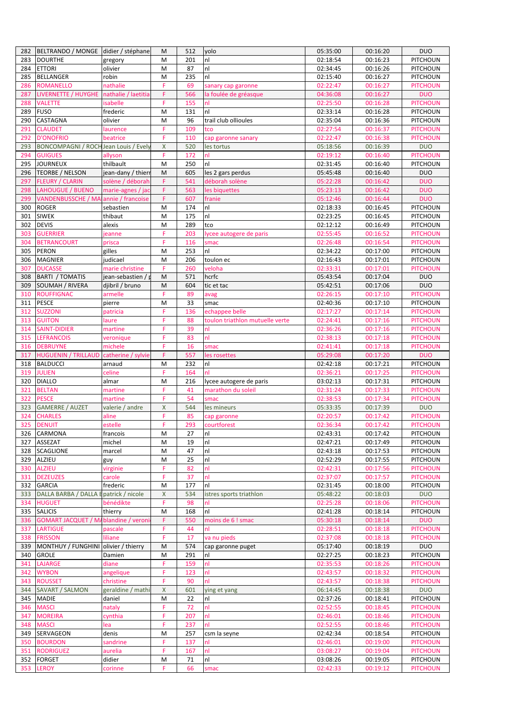|     | BELTRANDO / MONGE didier / stéphane          |                     | M                  | 512 | yolo                            | 05:35:00 | 00:16:20 | <b>DUO</b>                         |
|-----|----------------------------------------------|---------------------|--------------------|-----|---------------------------------|----------|----------|------------------------------------|
| 283 | <b>DOURTHE</b>                               | gregory             | M                  | 201 | nl                              | 02:18:54 | 00:16:23 | PITCHOUN                           |
| 284 | <b>ETTORI</b>                                | olivier             | M                  | 87  | nl                              | 02:34:45 | 00:16:26 | PITCHOUN                           |
| 285 | <b>BELLANGER</b>                             | robin               | M                  | 235 | nl                              | 02:15:40 | 00:16:27 | PITCHOUN                           |
| 286 | <b>ROMANELLO</b>                             | nathalie            | F                  | 69  | sanary cap garonne              | 02:22:47 | 00:16:27 | <b>PITCHOUN</b>                    |
| 287 | LIVERNETTE / HUYGHE                          | nathalie / laetitia | F                  | 566 | la foulée de gréasque           | 04:36:08 | 00:16:27 | <b>DUO</b>                         |
| 288 | <b>VALETTE</b>                               | isabelle            | F                  | 155 | nl                              | 02:25:50 | 00:16:28 | <b>PITCHOUN</b>                    |
| 289 | <b>FUSO</b>                                  | frederic            | M                  | 131 | nl                              | 02:33:14 | 00:16:28 | PITCHOUN                           |
| 290 | CASTAGNA                                     | olivier             | M                  | 96  | trail club ollioules            | 02:35:04 | 00:16:36 | <b>PITCHOUN</b>                    |
| 291 | <b>CLAUDET</b>                               | laurence            | F                  | 109 | tco                             | 02:27:54 | 00:16:37 | <b>PITCHOUN</b>                    |
| 292 | <b>D'ONOFRIO</b>                             | beatrice            | F                  | 110 | cap garonne sanary              | 02:22:47 | 00:16:38 | <b>PITCHOUN</b>                    |
| 293 | <b>BONCOMPAGNI / ROCH Jean Louis / Evely</b> |                     | $\pmb{\mathsf{X}}$ | 520 | les tortus                      | 05:18:56 | 00:16:39 | <b>DUO</b>                         |
| 294 | <b>GUIGUES</b>                               | allyson             | F                  | 172 | nl                              | 02:19:12 | 00:16:40 | <b>PITCHOUN</b>                    |
| 295 | <b>JOURNEUX</b>                              | thilbault           | M                  | 250 | nl                              | 02:31:45 | 00:16:40 | PITCHOUN                           |
| 296 | <b>TEORBE / NELSON</b>                       | jean-dany / thieri  | M                  | 605 | les 2 gars perdus               | 05:45:48 | 00:16:40 | <b>DUO</b>                         |
| 297 | <b>FLEURY / CLARIN</b>                       | solène / déborah    | F                  | 541 | déborah solène                  | 05:22:28 | 00:16:42 | <b>DUO</b>                         |
| 298 | LAHOUGUE / BUENO                             | marie-agnes / jac   | F                  | 563 | les biquettes                   | 05:23:13 | 00:16:42 | <b>DUO</b>                         |
| 299 | VANDENBUSSCHE / MA annie / francoise         |                     | F                  | 607 | franie                          | 05:12:46 | 00:16:44 | <b>DUO</b>                         |
| 300 | <b>ROGER</b>                                 | sebastien           | M                  | 174 | nl                              | 02:18:33 | 00:16:45 | PITCHOUN                           |
| 301 | <b>SIWEK</b>                                 | thibaut             | M                  | 175 | nl                              | 02:23:25 | 00:16:45 | PITCHOUN                           |
| 302 | <b>DEVIS</b>                                 | alexis              | M                  | 289 | tco                             | 02:12:12 | 00:16:49 | <b>PITCHOUN</b>                    |
| 303 | <b>GUERRIER</b>                              | jeanne              | F                  | 203 | lycee autogere de paris         | 02:55:45 | 00:16:52 | <b>PITCHOUN</b>                    |
| 304 | <b>BETRANCOURT</b>                           | prisca              | F                  | 116 | smac                            | 02:26:48 | 00:16:54 | <b>PITCHOUN</b>                    |
| 305 | <b>PERON</b>                                 | gilles              | M                  | 253 | nl                              | 02:34:22 | 00:17:00 | <b>PITCHOUN</b>                    |
| 306 | <b>MAGNIER</b>                               | judicael            | M                  | 206 | toulon ec                       | 02:16:43 | 00:17:01 | PITCHOUN                           |
| 307 | <b>DUCASSE</b>                               | marie christine     | F                  | 260 | veloha                          | 02:33:31 | 00:17:01 | <b>PITCHOUN</b>                    |
| 308 | <b>BARTI / TOMATIS</b>                       | iean-sebastien /    | M                  | 571 | hcrfc                           | 05:43:54 | 00:17:04 | <b>DUO</b>                         |
| 309 | SOUMAH / RIVERA                              | djibril / bruno     | M                  | 604 | tic et tac                      | 05:42:51 | 00:17:06 | <b>DUO</b>                         |
| 310 | <b>ROUFFIGNAC</b>                            | armelle             | F                  | 89  | avag                            | 02:26:15 | 00:17:10 | <b>PITCHOUN</b>                    |
| 311 | <b>PESCE</b>                                 | pierre              | M                  | 33  | smac                            | 02:40:36 | 00:17:10 | PITCHOUN                           |
| 312 | <b>SUZZONI</b>                               | patricia            | F                  | 136 | echappee belle                  | 02:17:27 | 00:17:14 | <b>PITCHOUN</b>                    |
| 313 | <b>GUITON</b>                                | laure               | F                  | 88  | toulon triathlon mutuelle verte | 02:24:41 | 00:17:16 | <b>PITCHOUN</b>                    |
| 314 | <b>SAINT-DIDIER</b>                          | martine             | F                  | 39  | nl                              | 02:36:26 | 00:17:16 | <b>PITCHOUN</b>                    |
| 315 | <b>LEFRANCOIS</b>                            | veronique           | F                  | 83  | nl                              | 02:38:13 | 00:17:18 | <b>PITCHOUN</b>                    |
| 316 | <b>DEBRUYNE</b>                              | michele             | F                  | 16  | smac                            | 02:41:41 | 00:17:18 | <b>PITCHOUN</b>                    |
| 317 | <b>HUGUENIN / TRILLAUD</b>                   | catherine / sylvie  | F                  | 557 | les rosettes                    | 05:29:08 | 00:17:20 | <b>DUO</b>                         |
| 318 | <b>BALDUCCI</b>                              | arnaud              | M                  | 232 | nl                              | 02:42:18 | 00:17:21 | PITCHOUN                           |
| 319 | <b>JULIEN</b>                                | celine              | F                  | 164 | nl                              | 02:36:21 | 00:17:25 | <b>PITCHOUN</b>                    |
| 320 | <b>DIALLO</b>                                | almar               | M                  | 216 | lycee autogere de paris         | 03:02:13 | 00:17:31 | <b>PITCHOUN</b>                    |
| 321 | <b>BELTAN</b>                                | martine             | F.                 | 41  | marathon du soleil              | 02:31:24 | 00:17:33 | <b>PITCHOUN</b>                    |
| 322 | <b>PESCE</b>                                 | martine             | F                  | 54  | smac                            | 02:38:53 | 00:17:34 | <b>PITCHOUN</b>                    |
|     | <b>GAMERRE / AUZET</b>                       | valerie / andre     | X                  | 544 | les mineurs                     | 05:33:35 | 00:17:39 | <b>DUO</b>                         |
| 323 |                                              |                     |                    |     |                                 |          |          |                                    |
| 324 | <b>CHARLES</b>                               | aline               | F                  | 85  | cap garonne                     | 02:20:57 | 00:17:42 | <b>PITCHOUN</b>                    |
| 325 | <b>DENUIT</b>                                | estelle             | F                  | 293 | courtforest                     | 02:36:34 | 00:17:42 | <b>PITCHOUN</b>                    |
|     | 326 CARMONA                                  | trancois            | M                  | 27  | nl                              | 02:43:31 | 00:17:42 | <b>PITCHOUN</b>                    |
| 327 | <b>ASSEZAT</b>                               | michel              | M                  | 19  | nl                              | 02:47:21 | 00:17:49 | PITCHOUN                           |
| 328 | <b>SCAGLIONE</b>                             | marcel              | M                  | 47  | nl                              | 02:43:18 | 00:17:53 | PITCHOUN                           |
| 329 | <b>ALZIEU</b>                                | guy                 | M                  | 25  | nl                              | 02:52:29 | 00:17:55 | PITCHOUN                           |
| 330 | <b>ALZIEU</b>                                | virginie            | F                  | 82  | nl                              | 02:42:31 | 00:17:56 | <b>PITCHOUN</b>                    |
| 331 | <b>DEZEUZES</b>                              | carole              | F                  | 37  | nl                              | 02:37:07 | 00:17:57 | <b>PITCHOUN</b>                    |
| 332 | <b>GARCIA</b>                                | frederic            | M                  | 177 | nl                              | 02:31:45 | 00:18:00 | PITCHOUN                           |
| 333 | DALLA BARBA / DALLA E patrick / nicole       |                     | X                  | 534 | istres sports triathlon         | 05:48:22 | 00:18:03 | <b>DUO</b>                         |
| 334 | <b>HUGUET</b>                                | bénédikte           | F                  | 98  | nl                              | 02:25:28 | 00:18:06 | <b>PITCHOUN</b>                    |
| 335 | <b>SALICIS</b>                               | thierry             | M                  | 168 | nl                              | 02:41:28 | 00:18:14 | PITCHOUN                           |
| 336 | <b>GOMART JACQUET / M.</b>                   | blandine / veron    | F                  | 550 | moins de 6 ! smac               | 05:30:18 | 00:18:14 | <b>DUO</b>                         |
| 337 | <b>LARTIGUE</b>                              | pascale             | F                  | 44  | nl                              | 02:28:51 | 00:18:18 | <b>PITCHOUN</b>                    |
| 338 | <b>FRISSON</b>                               | liliane             | F                  | 17  | va nu pieds                     | 02:37:08 | 00:18:18 | <b>PITCHOUN</b>                    |
| 339 | MONTHUY / FUNGHINI olivier / thierry         |                     | M                  | 574 | cap garonne puget               | 05:17:40 | 00:18:19 | <b>DUO</b>                         |
| 340 | <b>GROLE</b>                                 | Damien              | M                  | 291 | nl                              | 02:27:25 | 00:18:23 |                                    |
| 341 | <b>LAJARGE</b>                               | diane               | F                  | 159 | nl                              | 02:35:53 | 00:18:26 | <b>PITCHOUN</b><br><b>PITCHOUN</b> |
| 342 | <b>WYBON</b>                                 | angelique           | F                  | 123 | nl                              | 02:43:57 | 00:18:32 | <b>PITCHOUN</b>                    |
| 343 | <b>ROUSSET</b>                               | christine           | F                  | 90  | nl                              | 02:43:57 | 00:18:38 | <b>PITCHOUN</b>                    |
| 344 | SAVART / SALMON                              | geraldine / mathi   | X                  | 601 | ying et yang                    | 06:14:45 | 00:18:38 | <b>DUO</b>                         |
| 345 | <b>MADIE</b>                                 | daniel              | M                  | 22  | nl                              | 02:37:26 | 00:18:41 | PITCHOUN                           |
| 346 | <b>MASCI</b>                                 | nataly              | F                  | 72  | nl                              | 02:52:55 | 00:18:45 | <b>PITCHOUN</b>                    |
| 347 | <b>MOREIRA</b>                               | cynthia             | F                  | 207 | nl                              | 02:46:01 | 00:18:46 | <b>PITCHOUN</b>                    |
| 348 | <b>MASCI</b>                                 | lea                 | F                  | 237 | nl                              | 02:52:55 | 00:18:46 | <b>PITCHOUN</b>                    |
| 349 | SERVAGEON                                    | denis               | M                  | 257 | csm la seyne                    | 02:42:34 | 00:18:54 | PITCHOUN                           |
| 350 | <b>BOURDON</b>                               | sandrine            | F                  | 137 | nl                              | 02:46:01 | 00:19:00 | <b>PITCHOUN</b>                    |
| 351 | <b>RODRIGUEZ</b>                             | aurelia             | F                  | 167 | nl                              | 03:08:27 | 00:19:04 | <b>PITCHOUN</b>                    |
| 352 | <b>FORGET</b>                                | didier              | M                  | 71  | nl                              | 03:08:26 | 00:19:05 | PITCHOUN                           |
| 353 | <b>LEROY</b>                                 | corinne             | F                  | 66  | smac                            | 02:42:33 | 00:19:12 | <b>PITCHOUN</b>                    |